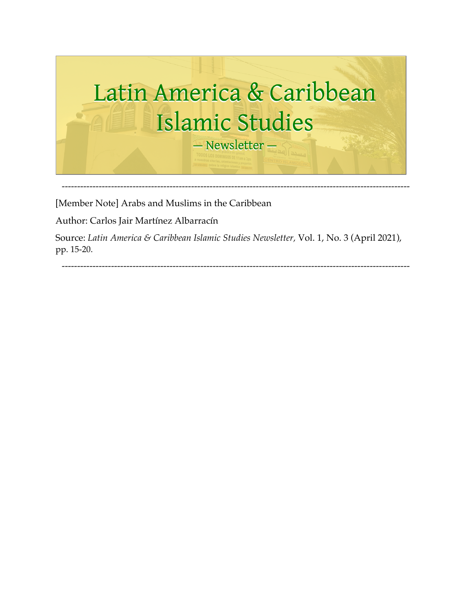

[Member Note] Arabs and Muslims in the Caribbean

Author: Carlos Jair Martínez Albarracín

Source: *Latin America & Caribbean Islamic Studies Newsletter,* Vol. 1, No. 3 (April 2021), pp. 15-20.

-----------------------------------------------------------------------------------------------------------------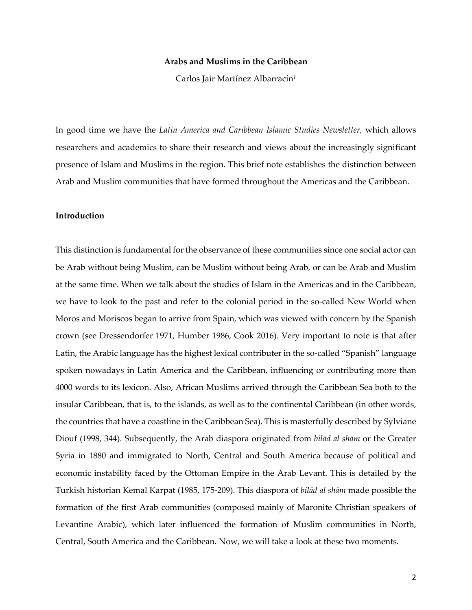#### **Arabs and Muslims in the Caribbean**

Carlos Jair Martínez Albarracín<sup>1</sup>

In good time we have the *Latin America and Caribbean Islamic Studies Newsletter,* which allows researchers and academics to share their research and views about the increasingly significant presence of Islam and Muslims in the region. This brief note establishes the distinction between Arab and Muslim communities that have formed throughout the Americas and the Caribbean.

### **Introduction**

This distinction is fundamental for the observance of these communities since one social actor can be Arab without being Muslim, can be Muslim without being Arab, or can be Arab and Muslim at the same time. When we talk about the studies of Islam in the Americas and in the Caribbean, we have to look to the past and refer to the colonial period in the so-called New World when Moros and Moriscos began to arrive from Spain, which was viewed with concern by the Spanish crown (see Dressendorfer 1971, Humber 1986, Cook 2016). Very important to note is that after Latin, the Arabic language has the highest lexical contributer in the so-called "Spanish" language spoken nowadays in Latin America and the Caribbean, influencing or contributing more than 4000 words to its lexicon. Also, African Muslims arrived through the Caribbean Sea both to the insular Caribbean, that is, to the islands, as well as to the continental Caribbean (in other words, the countries that have a coastline in the Caribbean Sea). This is masterfully described by Sylviane Diouf (1998, 344). Subsequently, the Arab diaspora originated from *bilād al shām* or the Greater Syria in 1880 and immigrated to North, Central and South America because of political and economic instability faced by the Ottoman Empire in the Arab Levant. This is detailed by the Turkish historian Kemal Karpat (1985, 175-209). This diaspora of *bilād al shām* made possible the formation of the first Arab communities (composed mainly of Maronite Christian speakers of Levantine Arabic), which later influenced the formation of Muslim communities in North, Central, South America and the Caribbean. Now, we will take a look at these two moments.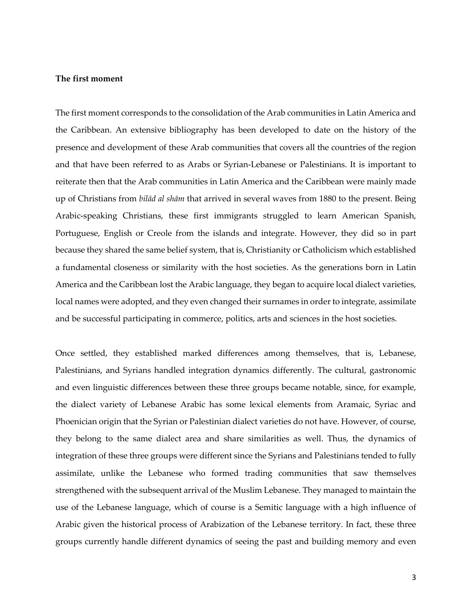#### **The first moment**

The first moment corresponds to the consolidation of the Arab communities in Latin America and the Caribbean. An extensive bibliography has been developed to date on the history of the presence and development of these Arab communities that covers all the countries of the region and that have been referred to as Arabs or Syrian-Lebanese or Palestinians. It is important to reiterate then that the Arab communities in Latin America and the Caribbean were mainly made up of Christians from *bilād al shām* that arrived in several waves from 1880 to the present. Being Arabic-speaking Christians, these first immigrants struggled to learn American Spanish, Portuguese, English or Creole from the islands and integrate. However, they did so in part because they shared the same belief system, that is, Christianity or Catholicism which established a fundamental closeness or similarity with the host societies. As the generations born in Latin America and the Caribbean lost the Arabic language, they began to acquire local dialect varieties, local names were adopted, and they even changed their surnames in order to integrate, assimilate and be successful participating in commerce, politics, arts and sciences in the host societies.

Once settled, they established marked differences among themselves, that is, Lebanese, Palestinians, and Syrians handled integration dynamics differently. The cultural, gastronomic and even linguistic differences between these three groups became notable, since, for example, the dialect variety of Lebanese Arabic has some lexical elements from Aramaic, Syriac and Phoenician origin that the Syrian or Palestinian dialect varieties do not have. However, of course, they belong to the same dialect area and share similarities as well. Thus, the dynamics of integration of these three groups were different since the Syrians and Palestinians tended to fully assimilate, unlike the Lebanese who formed trading communities that saw themselves strengthened with the subsequent arrival of the Muslim Lebanese. They managed to maintain the use of the Lebanese language, which of course is a Semitic language with a high influence of Arabic given the historical process of Arabization of the Lebanese territory. In fact, these three groups currently handle different dynamics of seeing the past and building memory and even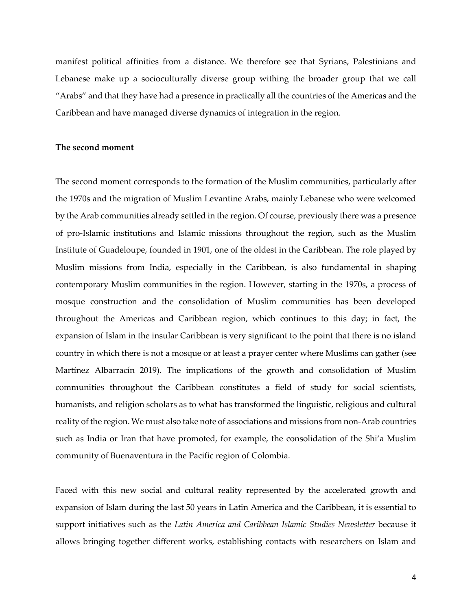manifest political affinities from a distance. We therefore see that Syrians, Palestinians and Lebanese make up a socioculturally diverse group withing the broader group that we call "Arabs" and that they have had a presence in practically all the countries of the Americas and the Caribbean and have managed diverse dynamics of integration in the region.

#### **The second moment**

The second moment corresponds to the formation of the Muslim communities, particularly after the 1970s and the migration of Muslim Levantine Arabs, mainly Lebanese who were welcomed by the Arab communities already settled in the region. Of course, previously there was a presence of pro-Islamic institutions and Islamic missions throughout the region, such as the Muslim Institute of Guadeloupe, founded in 1901, one of the oldest in the Caribbean. The role played by Muslim missions from India, especially in the Caribbean, is also fundamental in shaping contemporary Muslim communities in the region. However, starting in the 1970s, a process of mosque construction and the consolidation of Muslim communities has been developed throughout the Americas and Caribbean region, which continues to this day; in fact, the expansion of Islam in the insular Caribbean is very significant to the point that there is no island country in which there is not a mosque or at least a prayer center where Muslims can gather (see Martínez Albarracín 2019). The implications of the growth and consolidation of Muslim communities throughout the Caribbean constitutes a field of study for social scientists, humanists, and religion scholars as to what has transformed the linguistic, religious and cultural reality of the region. We must also take note of associations and missions from non-Arab countries such as India or Iran that have promoted, for example, the consolidation of the Shi'a Muslim community of Buenaventura in the Pacific region of Colombia.

Faced with this new social and cultural reality represented by the accelerated growth and expansion of Islam during the last 50 years in Latin America and the Caribbean, it is essential to support initiatives such as the *Latin America and Caribbean Islamic Studies Newsletter* because it allows bringing together different works, establishing contacts with researchers on Islam and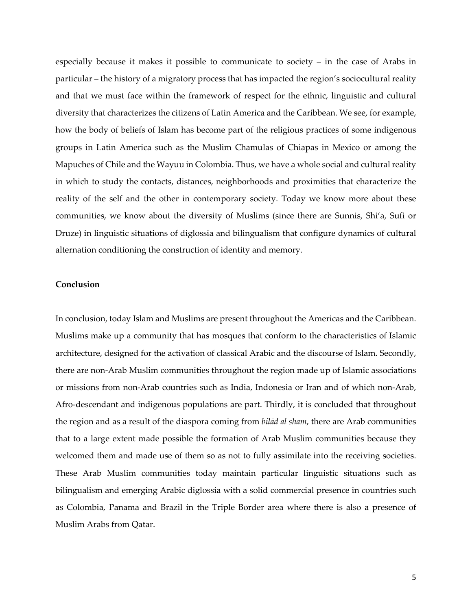especially because it makes it possible to communicate to society – in the case of Arabs in particular – the history of a migratory process that has impacted the region's sociocultural reality and that we must face within the framework of respect for the ethnic, linguistic and cultural diversity that characterizes the citizens of Latin America and the Caribbean. We see, for example, how the body of beliefs of Islam has become part of the religious practices of some indigenous groups in Latin America such as the Muslim Chamulas of Chiapas in Mexico or among the Mapuches of Chile and the Wayuu in Colombia. Thus, we have a whole social and cultural reality in which to study the contacts, distances, neighborhoods and proximities that characterize the reality of the self and the other in contemporary society. Today we know more about these communities, we know about the diversity of Muslims (since there are Sunnis, Shi'a, Sufi or Druze) in linguistic situations of diglossia and bilingualism that configure dynamics of cultural alternation conditioning the construction of identity and memory.

### **Conclusion**

In conclusion, today Islam and Muslims are present throughout the Americas and the Caribbean. Muslims make up a community that has mosques that conform to the characteristics of Islamic architecture, designed for the activation of classical Arabic and the discourse of Islam. Secondly, there are non-Arab Muslim communities throughout the region made up of Islamic associations or missions from non-Arab countries such as India, Indonesia or Iran and of which non-Arab, Afro-descendant and indigenous populations are part. Thirdly, it is concluded that throughout the region and as a result of the diaspora coming from *bilād al sham*, there are Arab communities that to a large extent made possible the formation of Arab Muslim communities because they welcomed them and made use of them so as not to fully assimilate into the receiving societies. These Arab Muslim communities today maintain particular linguistic situations such as bilingualism and emerging Arabic diglossia with a solid commercial presence in countries such as Colombia, Panama and Brazil in the Triple Border area where there is also a presence of Muslim Arabs from Qatar.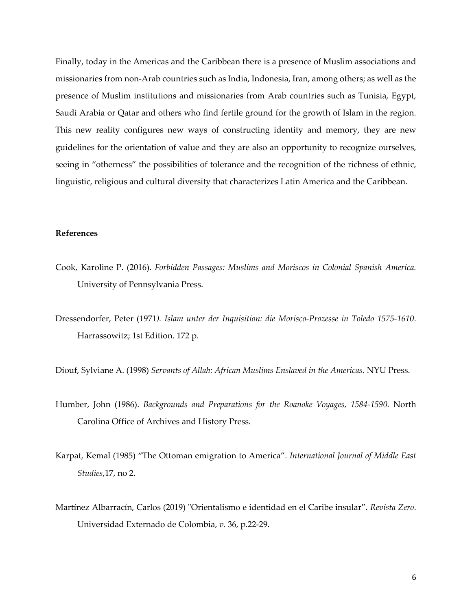Finally, today in the Americas and the Caribbean there is a presence of Muslim associations and missionaries from non-Arab countries such as India, Indonesia, Iran, among others; as well as the presence of Muslim institutions and missionaries from Arab countries such as Tunisia, Egypt, Saudi Arabia or Qatar and others who find fertile ground for the growth of Islam in the region. This new reality configures new ways of constructing identity and memory, they are new guidelines for the orientation of value and they are also an opportunity to recognize ourselves, seeing in "otherness" the possibilities of tolerance and the recognition of the richness of ethnic, linguistic, religious and cultural diversity that characterizes Latin America and the Caribbean.

## **References**

- Cook, Karoline P. (2016). *Forbidden Passages: Muslims and Moriscos in Colonial Spanish America.*  University of Pennsylvania Press.
- Dressendorfer, Peter (1971*). Islam unter der Inquisition: die Morisco-Prozesse in Toledo 1575-1610*. Harrassowitz; 1st Edition. 172 p.

Diouf, Sylviane A. (1998) *Servants of Allah: African Muslims Enslaved in the Americas*. NYU Press.

- Humber, John (1986). *Backgrounds and Preparations for the Roanoke Voyages, 1584-1590.* North Carolina Office of Archives and History Press.
- Karpat, Kemal (1985) "The Ottoman emigration to America". *International Journal of Middle East Studies*,17, no 2.
- Martínez Albarracín, Carlos (2019) "Orientalismo e identidad en el Caribe insular". *Revista Zero*. Universidad Externado de Colombia, *v.* 36, p.22-29.